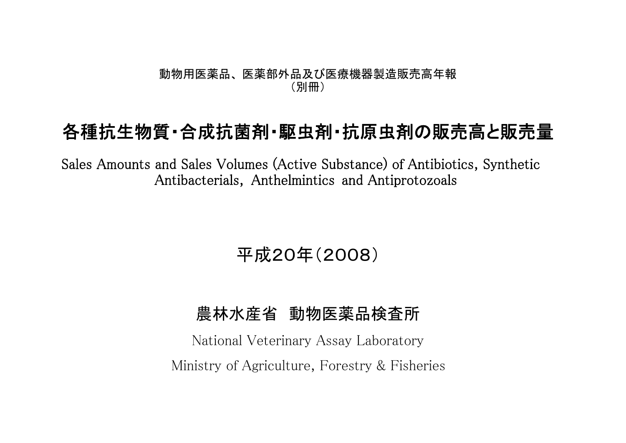## 動物用医薬品、 医薬部外品及び医療機器製造販売高年報 (別冊)

## 各種抗生物質・合成抗菌剤・駆虫剤・抗原虫剤の販売高と販売量

Sales Amounts and Sales Volumes (Active Substance) of Antibiotics, Synthetic Antibacterials, Anthelmintics and Antiprotozoals

平成20年(2008)

## 農林水産省 動物医薬品検査所

National Veterinary Assay Laboratory Ministry of Agriculture, Forestry & Fisheries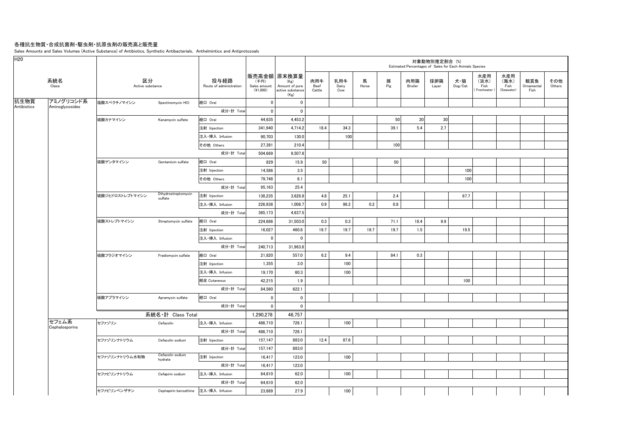## 各種抗生物質・合成抗菌剤・駆虫剤・抗原虫剤の販売高と販売量

Sales Amounts and Sales Volumes (Active Substance) of Antibiotics, Synthetic Antibacterials, Anthelmintics and Antiprotozoals

| H <sub>20</sub>     |                              |                        |                                |                                 |                                    |                                                                   |                       |                     |            |          |                | 対象動物別推定割合 (%)<br>Estimated Percentages of Sales for Each Animals Species |                                    |                                   |                                   |                           |               |
|---------------------|------------------------------|------------------------|--------------------------------|---------------------------------|------------------------------------|-------------------------------------------------------------------|-----------------------|---------------------|------------|----------|----------------|--------------------------------------------------------------------------|------------------------------------|-----------------------------------|-----------------------------------|---------------------------|---------------|
|                     | 系統名<br>Class                 | 区分<br>Active substance |                                | 投与経路<br>Route of administration | (千円)<br>Sales amount<br>$(*1,000)$ | 販売高金額 原末換算量<br>(Kg)<br>Amount of pure<br>active substance<br>(Kg) | 肉用牛<br>Beef<br>Cattle | 乳用牛<br>Dairy<br>Cow | 馬<br>Horse | 豚<br>Pig | 肉用鶏<br>Broiler | 採卵鶏<br>Layer                                                             | 犬・猫<br>$\mathsf{Dog}/\mathsf{Cat}$ | 水産用<br>(淡水)<br>Fish<br>Freshwater | 水産用<br>(海水)<br>Fish<br>(Seawater) | 観賞魚<br>Ornamental<br>Fish | その他<br>Others |
| 抗生物質<br>Antibiotics | アミノグリコシド系<br>Aminoglycosides | 塩酸スペクチノマイシン            | Spectinomycin HCI              | 経口 Oral                         | $\mathbf 0$                        | $\mathbf 0$                                                       |                       |                     |            |          |                |                                                                          |                                    |                                   |                                   |                           |               |
|                     |                              |                        |                                | 成分·計 Total                      | $\mathbf{0}$                       | $\mathbf 0$                                                       |                       |                     |            |          |                |                                                                          |                                    |                                   |                                   |                           |               |
|                     |                              | 硫酸カナマイシン               | Kanamycin sulfate              | 経口 Oral                         | 44,635                             | 4,453.2                                                           |                       |                     |            | 50       | 20             | 30                                                                       |                                    |                                   |                                   |                           |               |
|                     |                              |                        |                                | 注射 Injection                    | 341,940                            | 4,714.2                                                           | 18.4                  | 34.3                |            | 39.1     | 5.4            | 2.7                                                                      |                                    |                                   |                                   |                           |               |
|                     |                              |                        |                                | 注入·挿入 Infusion                  | 90,703                             | 130.0                                                             |                       | 100                 |            |          |                |                                                                          |                                    |                                   |                                   |                           |               |
|                     |                              |                        |                                | その他 Others                      | 27,391                             | 210.4                                                             |                       |                     |            | 100      |                |                                                                          |                                    |                                   |                                   |                           |               |
|                     |                              |                        |                                | 成分·計 Total                      | 504,669                            | 9,507.8                                                           |                       |                     |            |          |                |                                                                          |                                    |                                   |                                   |                           |               |
|                     |                              | 硫酸ゲンタマイシン              | Gentamicin sulfate             | 経口 Oral                         | 829                                | 15.9                                                              | 50                    |                     |            | 50       |                |                                                                          |                                    |                                   |                                   |                           |               |
|                     |                              |                        |                                | 注射 Injection                    | 14,586                             | 3.5                                                               |                       |                     |            |          |                |                                                                          | 100                                |                                   |                                   |                           |               |
|                     |                              |                        |                                | その他 Others                      | 79,748                             | 6.1                                                               |                       |                     |            |          |                |                                                                          | 100                                |                                   |                                   |                           |               |
|                     |                              |                        |                                | 成分·計 Total                      | 95,163                             | 25.4                                                              |                       |                     |            |          |                |                                                                          |                                    |                                   |                                   |                           |               |
|                     |                              | 硫酸ジヒドロストレプトマイシン        | Dihydrostreptomycin<br>sulfate | 注射 Injection                    | 138,235                            | 3,628.8                                                           | 4.8                   | 25.1                |            | 2.4      |                |                                                                          | 67.7                               |                                   |                                   |                           |               |
|                     |                              |                        |                                | 注入·挿入 Infusion                  | 226,938                            | 1,008.7                                                           | 0.9                   | 98.2                | 0.2        | 0.8      |                |                                                                          |                                    |                                   |                                   |                           |               |
|                     |                              |                        |                                | 成分·計 Total                      | 365,173                            | 4,637.5                                                           |                       |                     |            |          |                |                                                                          |                                    |                                   |                                   |                           |               |
|                     |                              | 硫酸ストレプトマイシン            | Streptomycin sulfate           | 経口 Oral                         | 224,686                            | 31,503.0                                                          | 0.3                   | 0.3                 |            | 71.1     | 18.4           | 9.9                                                                      |                                    |                                   |                                   |                           |               |
|                     |                              |                        |                                | 注射 Injection                    | 16,027                             | 460.8                                                             | 19.7                  | 19.7                | 19.7       | 19.7     | 1.5            |                                                                          | 19.5                               |                                   |                                   |                           |               |
|                     |                              |                        |                                | 注入·挿入 Infusion                  | $\Omega$                           | $\mathbf 0$                                                       |                       |                     |            |          |                |                                                                          |                                    |                                   |                                   |                           |               |
|                     |                              |                        |                                | 成分·計 Total                      | 240,713                            | 31,963.8                                                          |                       |                     |            |          |                |                                                                          |                                    |                                   |                                   |                           |               |
|                     |                              | 硫酸フラジオマイシン             | Fradiomycin sulfate            | 経口 Oral                         | 21,820                             | 557.0                                                             | 6.2                   | 9.4                 |            | 84.1     | 0.3            |                                                                          |                                    |                                   |                                   |                           |               |
|                     |                              |                        |                                | 注射 Injection                    | 1,355                              | 3.0                                                               |                       | 100                 |            |          |                |                                                                          |                                    |                                   |                                   |                           |               |
|                     |                              |                        |                                | 注入·挿入 Infusion                  | 19,170                             | 60.3                                                              |                       | 100                 |            |          |                |                                                                          |                                    |                                   |                                   |                           |               |
|                     |                              |                        |                                | 経皮 Cutaneous                    | 42,215                             | 1.9                                                               |                       |                     |            |          |                |                                                                          | 100                                |                                   |                                   |                           |               |
|                     |                              |                        |                                | 成分·計 Total                      | 84,560                             | 622.1                                                             |                       |                     |            |          |                |                                                                          |                                    |                                   |                                   |                           |               |
|                     |                              | 硫酸アプラマイシン              | Apramycin sulfate              | 経口 Oral                         | $\mathbf 0$                        | $\mathbf 0$                                                       |                       |                     |            |          |                |                                                                          |                                    |                                   |                                   |                           |               |
|                     |                              |                        |                                | 成分·計 Total                      | $\mathbf{0}$                       | $\mathbf 0$                                                       |                       |                     |            |          |                |                                                                          |                                    |                                   |                                   |                           |               |
|                     |                              |                        | 系統名·計 Class Total              |                                 | 1,290,278                          | 46,757                                                            |                       |                     |            |          |                |                                                                          |                                    |                                   |                                   |                           |               |
|                     | セフェム系<br>Cephalosporins      | セファゾリン                 | Cefazolin                      | 注入·挿入 Infusion                  | 486,710                            | 726.1                                                             |                       | 100                 |            |          |                |                                                                          |                                    |                                   |                                   |                           |               |
|                     |                              |                        |                                | 成分·計 Total                      | 486,710                            | 726.1                                                             |                       |                     |            |          |                |                                                                          |                                    |                                   |                                   |                           |               |
|                     |                              | セファゾリンナトリウム            | Cefazolin sodium               | 注射 Injection                    | 157,147                            | 883.0                                                             | 12.4                  | 87.6                |            |          |                |                                                                          |                                    |                                   |                                   |                           |               |
|                     |                              |                        |                                | 成分·計 Total                      | 157,147                            | 883.0                                                             |                       |                     |            |          |                |                                                                          |                                    |                                   |                                   |                           |               |
|                     |                              | セファゾリンナトリウム水和物         | Cefazolin sodium<br>hydrate    | 注射 Injection                    | 16,417                             | 123.0                                                             |                       | 100                 |            |          |                |                                                                          |                                    |                                   |                                   |                           |               |
|                     |                              |                        |                                | 成分·計 Total                      | 16,417                             | 123.0                                                             |                       |                     |            |          |                |                                                                          |                                    |                                   |                                   |                           |               |
|                     |                              | セファピリンナトリウム            | Cefapirin sodium               | 注入·挿入 Infusion                  | 64,610                             | 62.0                                                              |                       | 100                 |            |          |                |                                                                          |                                    |                                   |                                   |                           |               |
|                     |                              |                        |                                | 成分·計 Total                      | 64,610                             | 62.0                                                              |                       |                     |            |          |                |                                                                          |                                    |                                   |                                   |                           |               |
|                     |                              | セファピリンベンザチン            | Cephapirin benzathine          | 注入·挿入 Infusion                  | 23,689                             | 27.9                                                              |                       | 100                 |            |          |                |                                                                          |                                    |                                   |                                   |                           |               |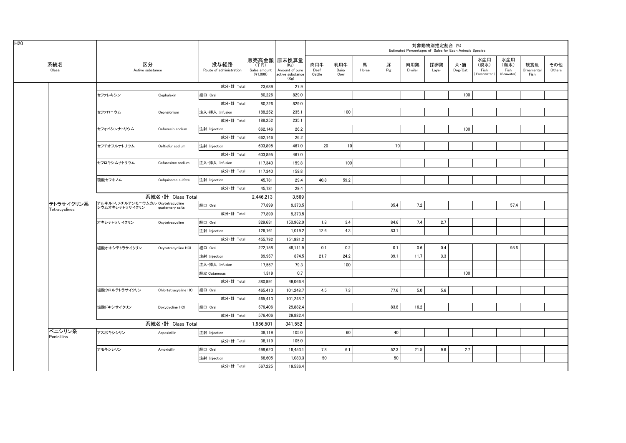|                            |                                                     |                       |                                 |                                    |                                                                   |                       |                     |            |          | Estimated Percentages of Sales for Each Animals Species | 対象動物別推定割合 (%) |                |                                    |                                   |                           |               |
|----------------------------|-----------------------------------------------------|-----------------------|---------------------------------|------------------------------------|-------------------------------------------------------------------|-----------------------|---------------------|------------|----------|---------------------------------------------------------|---------------|----------------|------------------------------------|-----------------------------------|---------------------------|---------------|
| 系統名<br>Class               | 区分<br>Active substance                              |                       | 投与経路<br>Route of administration | (千円)<br>Sales amount<br>$(*1,000)$ | 販売高金額 原末換算量<br>(Kg)<br>Amount of pure<br>active substance<br>(Kg) | 肉用牛<br>Beef<br>Cattle | 乳用牛<br>Dairy<br>Cow | 馬<br>Horse | 豚<br>Pig | 肉用鶏<br>Broiler                                          | 採卵鶏<br>Layer  | 犬・猫<br>Dog/Cat | 水産用<br>(淡水)<br>Fish<br>Freshwater) | 水産用<br>(海水)<br>Fish<br>(Seawater) | 観賞魚<br>Ornamental<br>Fish | その他<br>Others |
|                            |                                                     |                       | 成分·計 Total                      | 23,689                             | 27.9                                                              |                       |                     |            |          |                                                         |               |                |                                    |                                   |                           |               |
|                            | セファレキシン                                             | Cephalexin            | 経口 Oral                         | 80,226                             | 829.0                                                             |                       |                     |            |          |                                                         |               | 100            |                                    |                                   |                           |               |
|                            |                                                     |                       | 成分·計 Total                      | 80,226                             | 829.0                                                             |                       |                     |            |          |                                                         |               |                |                                    |                                   |                           |               |
|                            | セファロニウム                                             | Cephalonium           | 注入·挿入 Infusion                  | 188,252                            | 235.1                                                             |                       | 100                 |            |          |                                                         |               |                |                                    |                                   |                           |               |
|                            |                                                     |                       | 成分 計 Total                      | 188,252                            | 235.1                                                             |                       |                     |            |          |                                                         |               |                |                                    |                                   |                           |               |
|                            | セフォベシンナトリウム                                         | Cefovecin sodium      | 注射 Injection                    | 662.146                            | 26.2                                                              |                       |                     |            |          |                                                         |               | 100            |                                    |                                   |                           |               |
|                            |                                                     |                       | 成分·計 Total                      | 662,146                            | 26.2                                                              |                       |                     |            |          |                                                         |               |                |                                    |                                   |                           |               |
|                            | セフチオフルナトリウム                                         | Ceftiofur sodium      | 注射 Injection                    | 603,895                            | 467.0                                                             | 20                    | 10                  |            | 70       |                                                         |               |                |                                    |                                   |                           |               |
|                            |                                                     |                       | 成分·計 Total                      | 603,895                            | 467.0                                                             |                       |                     |            |          |                                                         |               |                |                                    |                                   |                           |               |
|                            | セフロキシムナトリウム                                         | Cefuroxime sodium     | 注入·挿入 Infusion                  | 117,340                            | 159.8                                                             |                       | 100                 |            |          |                                                         |               |                |                                    |                                   |                           |               |
|                            |                                                     |                       | 成分·計 Total                      | 117,340                            | 159.8                                                             |                       |                     |            |          |                                                         |               |                |                                    |                                   |                           |               |
|                            | 硫酸セフキノム                                             | Cefquinome sulfate    | 注射 Injection                    | 45,781                             | 29.4                                                              | 40.8                  | 59.2                |            |          |                                                         |               |                |                                    |                                   |                           |               |
|                            |                                                     |                       | 成分·計 Total                      | 45,781                             | 29.4                                                              |                       |                     |            |          |                                                         |               |                |                                    |                                   |                           |               |
|                            |                                                     | 系統名·計 Class Total     |                                 | 2,446,213                          | 3,569                                                             |                       |                     |            |          |                                                         |               |                |                                    |                                   |                           |               |
| テトラサイクリン系<br>Tetracyclines | アルキルトリメチルアンモニウムカル Oxytetracycline<br>シウムオキシテトラサイクリン | quaternary salts      | 経口 Oral                         | 77.899                             | 9.373.5                                                           |                       |                     |            | 35.4     | 7.2                                                     |               |                |                                    | 57.4                              |                           |               |
|                            |                                                     |                       | 成分·計 Total                      | 77.899                             | 9,373.5                                                           |                       |                     |            |          |                                                         |               |                |                                    |                                   |                           |               |
|                            | オキシテトラサイクリン                                         | Oxytetracycline       | 経口 Oral                         | 329.631                            | 150.962.0                                                         | 1.8                   | 3.4                 |            | 84.6     | 7.4                                                     | 2.7           |                |                                    |                                   |                           |               |
|                            |                                                     |                       | 注射 Injection                    | 126,161                            | 1,019.2                                                           | 12.6                  | 4.3                 |            | 83.1     |                                                         |               |                |                                    |                                   |                           |               |
|                            |                                                     |                       | 成分·計 Total                      | 455.792                            | 151.981.2                                                         |                       |                     |            |          |                                                         |               |                |                                    |                                   |                           |               |
|                            | 塩酸オキシテトラサイクリン                                       | Oxytetracycline HCI   | 経口 Oral                         | 272,158                            | 48,111.9                                                          | 0.1                   | 0.2                 |            | 0.1      | 0.6                                                     | 0.4           |                |                                    | 98.6                              |                           |               |
|                            |                                                     |                       | 注射 Injection                    | 89,957                             | 874.5                                                             | 21.7                  | 24.2                |            | 39.1     | 11.7                                                    | 3.3           |                |                                    |                                   |                           |               |
|                            |                                                     |                       | 注入·挿入 Infusion                  | 17,557                             | 79.3                                                              |                       | 100                 |            |          |                                                         |               |                |                                    |                                   |                           |               |
|                            |                                                     |                       | 経皮 Cutaneous                    | 1,319                              | 0.7                                                               |                       |                     |            |          |                                                         |               | 100            |                                    |                                   |                           |               |
|                            |                                                     |                       | 成分 計 Total                      | 380,991                            | 49,066.4                                                          |                       |                     |            |          |                                                         |               |                |                                    |                                   |                           |               |
|                            | 塩酸クロルテトラサイクリン                                       | Chlortetracycline HCI | 経口 Oral                         | 465.413                            | 101.248.7                                                         | 4.5                   | 7.3                 |            | 77.6     | 5.0                                                     | 5.6           |                |                                    |                                   |                           |               |
|                            |                                                     |                       | 成分·計 Total                      | 465,413                            | 101,248.7                                                         |                       |                     |            |          |                                                         |               |                |                                    |                                   |                           |               |
|                            | 塩酸ドキシサイクリン                                          | Doxycycline HCI       | 経口 Oral                         | 576.406                            | 29,882.4                                                          |                       |                     |            | 83.8     | 16.2                                                    |               |                |                                    |                                   |                           |               |
|                            |                                                     |                       | 成分·計 Total                      | 576.406                            | 29.882.4                                                          |                       |                     |            |          |                                                         |               |                |                                    |                                   |                           |               |
|                            |                                                     | 系統名·計 Class Total     |                                 | 1,956,501                          | 341.552                                                           |                       |                     |            |          |                                                         |               |                |                                    |                                   |                           |               |
| ペニシリン系<br>Penicillins      | アスポキシシリン                                            | Aspoxicillin          | 注射 Injection                    | 38.119                             | 105.0                                                             |                       | 60                  |            | 40       |                                                         |               |                |                                    |                                   |                           |               |
|                            |                                                     |                       | 成分·計 Total                      | 38,119                             | 105.0                                                             |                       |                     |            |          |                                                         |               |                |                                    |                                   |                           |               |
|                            | アモキシシリン                                             | Amoxicillin           | 経口 Oral                         | 498,620                            | 18,453.1                                                          | 7.8                   | 6.1                 |            | 52.3     | 21.5                                                    | 9.6           | 2.7            |                                    |                                   |                           |               |
|                            |                                                     |                       | 注射 Injection                    | 68,605                             | 1,083.3                                                           | 50                    |                     |            | 50       |                                                         |               |                |                                    |                                   |                           |               |
|                            |                                                     |                       | 成分·計 Total                      | 567,225                            | 19,536.4                                                          |                       |                     |            |          |                                                         |               |                |                                    |                                   |                           |               |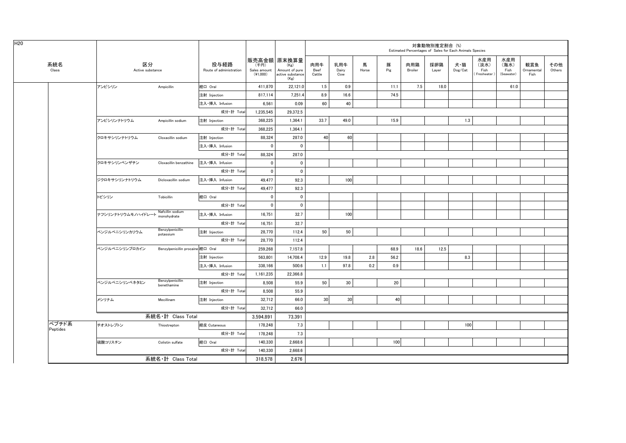| H <sub>20</sub>   |                        |                                   |                                 |                                    |                                                                   |                       |                     |            |          | Estimated Percentages of Sales for Each Animals Species | 対象動物別推定割合(%) |                |                                   |                                   |                           |               |
|-------------------|------------------------|-----------------------------------|---------------------------------|------------------------------------|-------------------------------------------------------------------|-----------------------|---------------------|------------|----------|---------------------------------------------------------|--------------|----------------|-----------------------------------|-----------------------------------|---------------------------|---------------|
| 系統名<br>Class      | 区分<br>Active substance |                                   | 投与経路<br>Route of administration | (千円)<br>Sales amount<br>$(*1,000)$ | 販売高金額 原末換算量<br>(Kg)<br>Amount of pure<br>active substance<br>(Kg) | 肉用牛<br>Beef<br>Cattle | 乳用牛<br>Dairy<br>Cow | 馬<br>Horse | 豚<br>Pig | 肉用鶏<br>Broiler                                          | 採卵鶏<br>Layer | 犬・猫<br>Dog/Cat | 水産用<br>(淡水)<br>Fish<br>Freshwater | 水産用<br>(海水)<br>Fish<br>(Seawater) | 観賞魚<br>Ornamental<br>Fish | その他<br>Others |
|                   | アンピシリン                 | Ampicillin                        | 経口 Oral                         | 411,870                            | 22,121.0                                                          | 1.5                   | 0.9                 |            | 11.1     | 7.5                                                     | 18.0         |                |                                   | 61.0                              |                           |               |
|                   |                        |                                   | 注射 Injection                    | 817,114                            | 7,251.4                                                           | 8.9                   | 16.6                |            | 74.5     |                                                         |              |                |                                   |                                   |                           |               |
|                   |                        |                                   | 注入·挿入 Infusion                  | 6,561                              | 0.09                                                              | 60                    | 40                  |            |          |                                                         |              |                |                                   |                                   |                           |               |
|                   |                        |                                   | 成分·計 Total                      | 1,235,545                          | 29,372.5                                                          |                       |                     |            |          |                                                         |              |                |                                   |                                   |                           |               |
|                   | アンピシリンナトリウム            | Ampicillin sodium                 | 注射 Injection                    | 368,225                            | 1,364.1                                                           | 33.7                  | 49.0                |            | 15.9     |                                                         |              | 1.3            |                                   |                                   |                           |               |
|                   |                        |                                   | 成分·計 Total                      | 368,225                            | 1,364.1                                                           |                       |                     |            |          |                                                         |              |                |                                   |                                   |                           |               |
|                   | クロキサシリンナトリウム           | Cloxacillin sodium                | 注射 Injection                    | 88,324                             | 287.0                                                             | 40                    | 60                  |            |          |                                                         |              |                |                                   |                                   |                           |               |
|                   |                        |                                   | 注入·挿入 Infusion                  | $\Omega$                           | $\mathbf{0}$                                                      |                       |                     |            |          |                                                         |              |                |                                   |                                   |                           |               |
|                   |                        |                                   | 成分 計 Total                      | 88,324                             | 287.0                                                             |                       |                     |            |          |                                                         |              |                |                                   |                                   |                           |               |
|                   | クロキサシリンベンザチン           | Cloxacillin benzathine            | 注入·挿入 Infusion                  | $\mathbf 0$                        | $\mathbf 0$                                                       |                       |                     |            |          |                                                         |              |                |                                   |                                   |                           |               |
|                   |                        |                                   | 成分·計 Total                      | $\mathbf 0$                        | $\mathbf 0$                                                       |                       |                     |            |          |                                                         |              |                |                                   |                                   |                           |               |
|                   | ジクロキサシリンナトリウム          | Dicloxacillin sodium              | 注入 挿入 Infusion                  | 49,477                             | 92.3                                                              |                       | 100                 |            |          |                                                         |              |                |                                   |                                   |                           |               |
|                   |                        |                                   | 成分 計 Total                      | 49,477                             | 92.3                                                              |                       |                     |            |          |                                                         |              |                |                                   |                                   |                           |               |
|                   | トビシリン                  | Tobicillin                        | 経口 Oral                         | $\mathbf{0}$                       | $\mathbf 0$                                                       |                       |                     |            |          |                                                         |              |                |                                   |                                   |                           |               |
|                   |                        |                                   | 成分·計 Total                      | $\mathbf{0}$                       | $\mathbf 0$                                                       |                       |                     |            |          |                                                         |              |                |                                   |                                   |                           |               |
|                   | ナフシリンナトリウムモノハイドレート     | Nafcillin sodium<br>monohydrate   | 注入·挿入 Infusion                  | 16,751                             | 32.7                                                              |                       | 100                 |            |          |                                                         |              |                |                                   |                                   |                           |               |
|                   |                        |                                   | 成分 計 Total                      | 16,751                             | 32.7                                                              |                       |                     |            |          |                                                         |              |                |                                   |                                   |                           |               |
|                   | ベンジルペニシリンカリウム          | Benzylpenicillin<br>potassium     | 注射 Injection                    | 28,770                             | 112.4                                                             | 50                    | 50                  |            |          |                                                         |              |                |                                   |                                   |                           |               |
|                   |                        |                                   | 成分·計 Total                      | 28,770                             | 112.4                                                             |                       |                     |            |          |                                                         |              |                |                                   |                                   |                           |               |
|                   | ベンジルペニシリンプロカイン         | Benzylpenicillin procaine 経口 Oral |                                 | 259,268                            | 7,157.8                                                           |                       |                     |            | 68.9     | 18.6                                                    | 12.5         |                |                                   |                                   |                           |               |
|                   |                        |                                   | 注射 Injection                    | 563,801                            | 14,708.4                                                          | 12.9                  | 19.8                | 2.8        | 56.2     |                                                         |              | 8.3            |                                   |                                   |                           |               |
|                   |                        |                                   | 注入·挿入 Infusion                  | 338,166                            | 500.6                                                             | 1.1                   | 97.8                | 0.2        | 0.9      |                                                         |              |                |                                   |                                   |                           |               |
|                   |                        |                                   | 成分·計 Total                      | 1,161,235                          | 22,366.8                                                          |                       |                     |            |          |                                                         |              |                |                                   |                                   |                           |               |
|                   | ベンジルペニシリンベネタミン         | Benzylpenicillin<br>benethamine   | 注射 Injection                    | 8,508                              | 55.9                                                              | 50                    | 30                  |            | 20       |                                                         |              |                |                                   |                                   |                           |               |
|                   |                        |                                   | 成分·計 Total                      | 8,508                              | 55.9                                                              |                       |                     |            |          |                                                         |              |                |                                   |                                   |                           |               |
|                   | メシリナム                  | Mecillinam                        | 注射 Injection                    | 32,712                             | 66.0                                                              | 30                    | 30                  |            | 40       |                                                         |              |                |                                   |                                   |                           |               |
|                   |                        |                                   | 成分·計 Total                      | 32,712                             | 66.0                                                              |                       |                     |            |          |                                                         |              |                |                                   |                                   |                           |               |
|                   |                        | 系統名·計 Class Total                 |                                 | 3,594,891                          | 73,391                                                            |                       |                     |            |          |                                                         |              |                |                                   |                                   |                           |               |
| ペプチド系<br>Peptides | チオストレプトン               | Thiostrepton                      | 経皮 Cutaneous                    | 178,248                            | 7.3                                                               |                       |                     |            |          |                                                         |              | 100            |                                   |                                   |                           |               |
|                   |                        |                                   | 成分·計 Total                      | 178,248                            | 7.3                                                               |                       |                     |            |          |                                                         |              |                |                                   |                                   |                           |               |
|                   | 硫酸コリスチン                | Colistin sulfate                  | 経口 Oral                         | 140,330                            | 2,668.6                                                           |                       |                     |            | 100      |                                                         |              |                |                                   |                                   |                           |               |
|                   |                        |                                   | 成分·計 Total                      | 140,330                            | 2,668.6                                                           |                       |                     |            |          |                                                         |              |                |                                   |                                   |                           |               |
|                   |                        | 系統名·計 Class Total                 |                                 | 318,578                            | 2,676                                                             |                       |                     |            |          |                                                         |              |                |                                   |                                   |                           |               |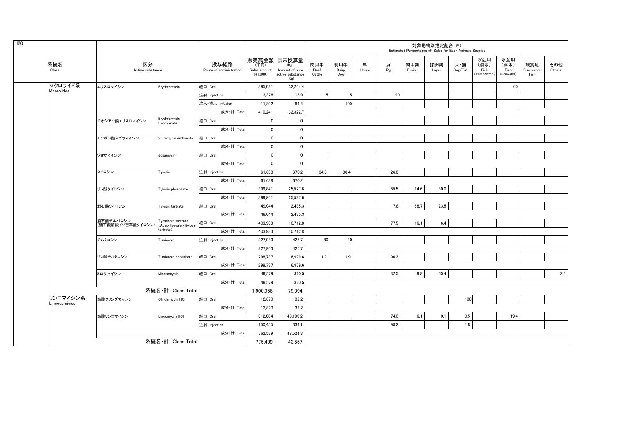| 販売高金額 原末換算量<br>水産用<br>水産用<br>系統名<br>区分<br>投与経路<br>乳用牛<br>観賞魚<br>肉用牛<br>馬<br>豚<br>肉用鶏<br>採卵鶏<br>犬・猫<br>(淡水)<br>(海水)<br>(千円)<br>(Kg)<br>Pig<br>Class<br>Dog/Cat<br>Fish<br>Active substance<br>Route of administration<br>Dairy<br>Broiler<br>Fish<br>Ornamental<br>Sales amount<br>Amount of pure<br>Beef<br>Horse<br>Layer<br>$(*1,000)$<br>(Seawater)<br>Fish<br>active substance<br>Cattle<br>Cow<br>Freshwater<br>(Kg)<br>マクロライド系<br>エリスロマイシン<br>経口 Oral<br>100<br>Erythromycin<br>395,021<br>32,244.4<br>Macrolides<br>90<br>3,328<br>13.9<br>注射 Injection<br>-5<br>注入·挿入 Infusion<br>11,892<br>64.4<br>100<br>成分·計 Total<br>32,322.7<br>410,241<br>Erythromycin<br>経口 Oral<br>チオシアン酸エリスロマイシン<br>$\mathbf 0$<br>$\overline{\mathbf{0}}$<br>thiocyanate<br>成分·計 Tota<br>$\pmb{0}$<br>$\overline{\mathbf{0}}$<br>経口 Oral<br>$\pmb{0}$<br>エンボン酸スピラマイシン<br>$\overline{\mathbf{0}}$<br>Spiramycin embonate<br>$\overline{0}$<br>成分 計 Total<br>$\overline{\mathbf{0}}$<br>ジョサマイシン<br>経口 Oral<br>$\overline{\mathbf{0}}$<br>$\overline{\mathbf{0}}$<br>Josamycin<br>成分·計 Total<br>$\overline{0}$<br>$\overline{\mathbf{0}}$<br>670.2<br>38.4<br>26.8<br>61,638<br>34.8<br>タイロシン<br>注射 Injection<br>Tylosin<br>成分·計 Total<br>61,638<br>670.2<br>55.5<br>14.6<br>30.0<br>経口 Oral<br>399,841<br>25,527.6<br>リン酸タイロシン<br>Tylosin phosphate<br>成分·計 Total<br>25,527.6<br>399,841<br>経口 Oral<br>7.8<br>68.7<br>23.5<br>酒石酸タイロシン<br>49,044<br>2,435.3<br>Tylosin tartrate<br>成分·計 Total<br>2,435.3<br>49,044<br>酒石酸チルバロシン<br>Tylvalosin tartrate<br>経口 Oral<br>77.5<br>6.4<br>403,933<br>10,712.8<br>16.1<br>(酒石酸酢酸イソ吉草酸タイロシン) (Acetylisovaleryltylosin<br>tartrate)<br>成分·計 Total<br>403,933<br>10,712.8<br>80<br>20<br>チルミコシン<br>Tilmicosin<br>注射 Injection<br>227,943<br>425.7<br>成分·計 Tota<br>227,943<br>425.7<br>298,737<br>6,979.6<br>1.9<br>1.9<br>96.2<br>経口 Oral<br>リン酸チルミコシン<br>Tilmicosin phosphate<br>成分 計 Total<br>298,737<br>6,979.6<br>32.5<br>9.8<br>55.4<br>経口 Oral<br>49,579<br>320.5<br>ミロサマイシン<br>Mirosamycin<br>成分·計 Total<br>49,579<br>320.5<br>系統名·計 Class Total<br>1,900,956<br>79,394<br>リンコマイシン系<br>塩酸クリンダマイシン<br>経口 Oral<br>32.2<br>100<br>Clindarnycin HCI<br>12,870<br>Lincosaminids<br>成分·計 Total<br>12,870<br>32.2<br>43,190.2<br>74.0<br>6.1<br>0.1<br>0.5<br>19.4<br>塩酸リンコマイシン<br>経口 Oral<br>612,084<br>Lincomycin HCI<br>334.1<br>98.2<br>1.8<br>注射 Injection<br>150,455<br>成分·計 Total<br>762.539<br>43,524.3<br>系統名·計 Class Total |  |  |         |        |  |  | Estimated Percentages of Sales for Each Animals Species | 対象動物別推定割合 (%) |  |  |               |
|------------------------------------------------------------------------------------------------------------------------------------------------------------------------------------------------------------------------------------------------------------------------------------------------------------------------------------------------------------------------------------------------------------------------------------------------------------------------------------------------------------------------------------------------------------------------------------------------------------------------------------------------------------------------------------------------------------------------------------------------------------------------------------------------------------------------------------------------------------------------------------------------------------------------------------------------------------------------------------------------------------------------------------------------------------------------------------------------------------------------------------------------------------------------------------------------------------------------------------------------------------------------------------------------------------------------------------------------------------------------------------------------------------------------------------------------------------------------------------------------------------------------------------------------------------------------------------------------------------------------------------------------------------------------------------------------------------------------------------------------------------------------------------------------------------------------------------------------------------------------------------------------------------------------------------------------------------------------------------------------------------------------------------------------------------------------------------------------------------------------------------------------------------------------------------------------------------------------------------------------------------------------------------------------------------------------------------------------------------------------------------------------------------------------------------------------------------|--|--|---------|--------|--|--|---------------------------------------------------------|---------------|--|--|---------------|
|                                                                                                                                                                                                                                                                                                                                                                                                                                                                                                                                                                                                                                                                                                                                                                                                                                                                                                                                                                                                                                                                                                                                                                                                                                                                                                                                                                                                                                                                                                                                                                                                                                                                                                                                                                                                                                                                                                                                                                                                                                                                                                                                                                                                                                                                                                                                                                                                                                                            |  |  |         |        |  |  |                                                         |               |  |  | その他<br>Others |
|                                                                                                                                                                                                                                                                                                                                                                                                                                                                                                                                                                                                                                                                                                                                                                                                                                                                                                                                                                                                                                                                                                                                                                                                                                                                                                                                                                                                                                                                                                                                                                                                                                                                                                                                                                                                                                                                                                                                                                                                                                                                                                                                                                                                                                                                                                                                                                                                                                                            |  |  |         |        |  |  |                                                         |               |  |  |               |
|                                                                                                                                                                                                                                                                                                                                                                                                                                                                                                                                                                                                                                                                                                                                                                                                                                                                                                                                                                                                                                                                                                                                                                                                                                                                                                                                                                                                                                                                                                                                                                                                                                                                                                                                                                                                                                                                                                                                                                                                                                                                                                                                                                                                                                                                                                                                                                                                                                                            |  |  |         |        |  |  |                                                         |               |  |  |               |
|                                                                                                                                                                                                                                                                                                                                                                                                                                                                                                                                                                                                                                                                                                                                                                                                                                                                                                                                                                                                                                                                                                                                                                                                                                                                                                                                                                                                                                                                                                                                                                                                                                                                                                                                                                                                                                                                                                                                                                                                                                                                                                                                                                                                                                                                                                                                                                                                                                                            |  |  |         |        |  |  |                                                         |               |  |  |               |
|                                                                                                                                                                                                                                                                                                                                                                                                                                                                                                                                                                                                                                                                                                                                                                                                                                                                                                                                                                                                                                                                                                                                                                                                                                                                                                                                                                                                                                                                                                                                                                                                                                                                                                                                                                                                                                                                                                                                                                                                                                                                                                                                                                                                                                                                                                                                                                                                                                                            |  |  |         |        |  |  |                                                         |               |  |  |               |
|                                                                                                                                                                                                                                                                                                                                                                                                                                                                                                                                                                                                                                                                                                                                                                                                                                                                                                                                                                                                                                                                                                                                                                                                                                                                                                                                                                                                                                                                                                                                                                                                                                                                                                                                                                                                                                                                                                                                                                                                                                                                                                                                                                                                                                                                                                                                                                                                                                                            |  |  |         |        |  |  |                                                         |               |  |  |               |
|                                                                                                                                                                                                                                                                                                                                                                                                                                                                                                                                                                                                                                                                                                                                                                                                                                                                                                                                                                                                                                                                                                                                                                                                                                                                                                                                                                                                                                                                                                                                                                                                                                                                                                                                                                                                                                                                                                                                                                                                                                                                                                                                                                                                                                                                                                                                                                                                                                                            |  |  |         |        |  |  |                                                         |               |  |  |               |
|                                                                                                                                                                                                                                                                                                                                                                                                                                                                                                                                                                                                                                                                                                                                                                                                                                                                                                                                                                                                                                                                                                                                                                                                                                                                                                                                                                                                                                                                                                                                                                                                                                                                                                                                                                                                                                                                                                                                                                                                                                                                                                                                                                                                                                                                                                                                                                                                                                                            |  |  |         |        |  |  |                                                         |               |  |  |               |
|                                                                                                                                                                                                                                                                                                                                                                                                                                                                                                                                                                                                                                                                                                                                                                                                                                                                                                                                                                                                                                                                                                                                                                                                                                                                                                                                                                                                                                                                                                                                                                                                                                                                                                                                                                                                                                                                                                                                                                                                                                                                                                                                                                                                                                                                                                                                                                                                                                                            |  |  |         |        |  |  |                                                         |               |  |  |               |
|                                                                                                                                                                                                                                                                                                                                                                                                                                                                                                                                                                                                                                                                                                                                                                                                                                                                                                                                                                                                                                                                                                                                                                                                                                                                                                                                                                                                                                                                                                                                                                                                                                                                                                                                                                                                                                                                                                                                                                                                                                                                                                                                                                                                                                                                                                                                                                                                                                                            |  |  |         |        |  |  |                                                         |               |  |  |               |
|                                                                                                                                                                                                                                                                                                                                                                                                                                                                                                                                                                                                                                                                                                                                                                                                                                                                                                                                                                                                                                                                                                                                                                                                                                                                                                                                                                                                                                                                                                                                                                                                                                                                                                                                                                                                                                                                                                                                                                                                                                                                                                                                                                                                                                                                                                                                                                                                                                                            |  |  |         |        |  |  |                                                         |               |  |  |               |
|                                                                                                                                                                                                                                                                                                                                                                                                                                                                                                                                                                                                                                                                                                                                                                                                                                                                                                                                                                                                                                                                                                                                                                                                                                                                                                                                                                                                                                                                                                                                                                                                                                                                                                                                                                                                                                                                                                                                                                                                                                                                                                                                                                                                                                                                                                                                                                                                                                                            |  |  |         |        |  |  |                                                         |               |  |  |               |
|                                                                                                                                                                                                                                                                                                                                                                                                                                                                                                                                                                                                                                                                                                                                                                                                                                                                                                                                                                                                                                                                                                                                                                                                                                                                                                                                                                                                                                                                                                                                                                                                                                                                                                                                                                                                                                                                                                                                                                                                                                                                                                                                                                                                                                                                                                                                                                                                                                                            |  |  |         |        |  |  |                                                         |               |  |  |               |
|                                                                                                                                                                                                                                                                                                                                                                                                                                                                                                                                                                                                                                                                                                                                                                                                                                                                                                                                                                                                                                                                                                                                                                                                                                                                                                                                                                                                                                                                                                                                                                                                                                                                                                                                                                                                                                                                                                                                                                                                                                                                                                                                                                                                                                                                                                                                                                                                                                                            |  |  |         |        |  |  |                                                         |               |  |  |               |
|                                                                                                                                                                                                                                                                                                                                                                                                                                                                                                                                                                                                                                                                                                                                                                                                                                                                                                                                                                                                                                                                                                                                                                                                                                                                                                                                                                                                                                                                                                                                                                                                                                                                                                                                                                                                                                                                                                                                                                                                                                                                                                                                                                                                                                                                                                                                                                                                                                                            |  |  |         |        |  |  |                                                         |               |  |  |               |
|                                                                                                                                                                                                                                                                                                                                                                                                                                                                                                                                                                                                                                                                                                                                                                                                                                                                                                                                                                                                                                                                                                                                                                                                                                                                                                                                                                                                                                                                                                                                                                                                                                                                                                                                                                                                                                                                                                                                                                                                                                                                                                                                                                                                                                                                                                                                                                                                                                                            |  |  |         |        |  |  |                                                         |               |  |  |               |
|                                                                                                                                                                                                                                                                                                                                                                                                                                                                                                                                                                                                                                                                                                                                                                                                                                                                                                                                                                                                                                                                                                                                                                                                                                                                                                                                                                                                                                                                                                                                                                                                                                                                                                                                                                                                                                                                                                                                                                                                                                                                                                                                                                                                                                                                                                                                                                                                                                                            |  |  |         |        |  |  |                                                         |               |  |  |               |
|                                                                                                                                                                                                                                                                                                                                                                                                                                                                                                                                                                                                                                                                                                                                                                                                                                                                                                                                                                                                                                                                                                                                                                                                                                                                                                                                                                                                                                                                                                                                                                                                                                                                                                                                                                                                                                                                                                                                                                                                                                                                                                                                                                                                                                                                                                                                                                                                                                                            |  |  |         |        |  |  |                                                         |               |  |  |               |
|                                                                                                                                                                                                                                                                                                                                                                                                                                                                                                                                                                                                                                                                                                                                                                                                                                                                                                                                                                                                                                                                                                                                                                                                                                                                                                                                                                                                                                                                                                                                                                                                                                                                                                                                                                                                                                                                                                                                                                                                                                                                                                                                                                                                                                                                                                                                                                                                                                                            |  |  |         |        |  |  |                                                         |               |  |  |               |
|                                                                                                                                                                                                                                                                                                                                                                                                                                                                                                                                                                                                                                                                                                                                                                                                                                                                                                                                                                                                                                                                                                                                                                                                                                                                                                                                                                                                                                                                                                                                                                                                                                                                                                                                                                                                                                                                                                                                                                                                                                                                                                                                                                                                                                                                                                                                                                                                                                                            |  |  |         |        |  |  |                                                         |               |  |  |               |
|                                                                                                                                                                                                                                                                                                                                                                                                                                                                                                                                                                                                                                                                                                                                                                                                                                                                                                                                                                                                                                                                                                                                                                                                                                                                                                                                                                                                                                                                                                                                                                                                                                                                                                                                                                                                                                                                                                                                                                                                                                                                                                                                                                                                                                                                                                                                                                                                                                                            |  |  |         |        |  |  |                                                         |               |  |  |               |
|                                                                                                                                                                                                                                                                                                                                                                                                                                                                                                                                                                                                                                                                                                                                                                                                                                                                                                                                                                                                                                                                                                                                                                                                                                                                                                                                                                                                                                                                                                                                                                                                                                                                                                                                                                                                                                                                                                                                                                                                                                                                                                                                                                                                                                                                                                                                                                                                                                                            |  |  |         |        |  |  |                                                         |               |  |  |               |
|                                                                                                                                                                                                                                                                                                                                                                                                                                                                                                                                                                                                                                                                                                                                                                                                                                                                                                                                                                                                                                                                                                                                                                                                                                                                                                                                                                                                                                                                                                                                                                                                                                                                                                                                                                                                                                                                                                                                                                                                                                                                                                                                                                                                                                                                                                                                                                                                                                                            |  |  |         |        |  |  |                                                         |               |  |  |               |
|                                                                                                                                                                                                                                                                                                                                                                                                                                                                                                                                                                                                                                                                                                                                                                                                                                                                                                                                                                                                                                                                                                                                                                                                                                                                                                                                                                                                                                                                                                                                                                                                                                                                                                                                                                                                                                                                                                                                                                                                                                                                                                                                                                                                                                                                                                                                                                                                                                                            |  |  |         |        |  |  |                                                         |               |  |  | 2.3           |
|                                                                                                                                                                                                                                                                                                                                                                                                                                                                                                                                                                                                                                                                                                                                                                                                                                                                                                                                                                                                                                                                                                                                                                                                                                                                                                                                                                                                                                                                                                                                                                                                                                                                                                                                                                                                                                                                                                                                                                                                                                                                                                                                                                                                                                                                                                                                                                                                                                                            |  |  |         |        |  |  |                                                         |               |  |  |               |
|                                                                                                                                                                                                                                                                                                                                                                                                                                                                                                                                                                                                                                                                                                                                                                                                                                                                                                                                                                                                                                                                                                                                                                                                                                                                                                                                                                                                                                                                                                                                                                                                                                                                                                                                                                                                                                                                                                                                                                                                                                                                                                                                                                                                                                                                                                                                                                                                                                                            |  |  |         |        |  |  |                                                         |               |  |  |               |
|                                                                                                                                                                                                                                                                                                                                                                                                                                                                                                                                                                                                                                                                                                                                                                                                                                                                                                                                                                                                                                                                                                                                                                                                                                                                                                                                                                                                                                                                                                                                                                                                                                                                                                                                                                                                                                                                                                                                                                                                                                                                                                                                                                                                                                                                                                                                                                                                                                                            |  |  |         |        |  |  |                                                         |               |  |  |               |
|                                                                                                                                                                                                                                                                                                                                                                                                                                                                                                                                                                                                                                                                                                                                                                                                                                                                                                                                                                                                                                                                                                                                                                                                                                                                                                                                                                                                                                                                                                                                                                                                                                                                                                                                                                                                                                                                                                                                                                                                                                                                                                                                                                                                                                                                                                                                                                                                                                                            |  |  |         |        |  |  |                                                         |               |  |  |               |
|                                                                                                                                                                                                                                                                                                                                                                                                                                                                                                                                                                                                                                                                                                                                                                                                                                                                                                                                                                                                                                                                                                                                                                                                                                                                                                                                                                                                                                                                                                                                                                                                                                                                                                                                                                                                                                                                                                                                                                                                                                                                                                                                                                                                                                                                                                                                                                                                                                                            |  |  |         |        |  |  |                                                         |               |  |  |               |
|                                                                                                                                                                                                                                                                                                                                                                                                                                                                                                                                                                                                                                                                                                                                                                                                                                                                                                                                                                                                                                                                                                                                                                                                                                                                                                                                                                                                                                                                                                                                                                                                                                                                                                                                                                                                                                                                                                                                                                                                                                                                                                                                                                                                                                                                                                                                                                                                                                                            |  |  |         |        |  |  |                                                         |               |  |  |               |
|                                                                                                                                                                                                                                                                                                                                                                                                                                                                                                                                                                                                                                                                                                                                                                                                                                                                                                                                                                                                                                                                                                                                                                                                                                                                                                                                                                                                                                                                                                                                                                                                                                                                                                                                                                                                                                                                                                                                                                                                                                                                                                                                                                                                                                                                                                                                                                                                                                                            |  |  |         |        |  |  |                                                         |               |  |  |               |
|                                                                                                                                                                                                                                                                                                                                                                                                                                                                                                                                                                                                                                                                                                                                                                                                                                                                                                                                                                                                                                                                                                                                                                                                                                                                                                                                                                                                                                                                                                                                                                                                                                                                                                                                                                                                                                                                                                                                                                                                                                                                                                                                                                                                                                                                                                                                                                                                                                                            |  |  | 775,409 | 43,557 |  |  |                                                         |               |  |  |               |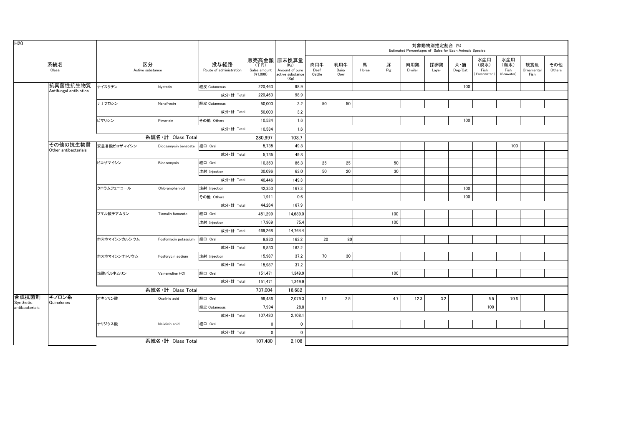| H <sub>20</sub>             |                                    |              |                        |                                 |                                    |                                                                   |                       |                     |            |          | Estimated Percentages of Sales for Each Animals Species | 対象動物別推定割合(%) |                                    |                                   |                                   |                           |               |
|-----------------------------|------------------------------------|--------------|------------------------|---------------------------------|------------------------------------|-------------------------------------------------------------------|-----------------------|---------------------|------------|----------|---------------------------------------------------------|--------------|------------------------------------|-----------------------------------|-----------------------------------|---------------------------|---------------|
|                             | 系統名<br>Class                       |              | 区分<br>Active substance | 投与経路<br>Route of administration | (千円)<br>Sales amount<br>$(*1,000)$ | 販売高金額 原末換算量<br>(Kg)<br>Amount of pure<br>active substance<br>(Kg) | 肉用牛<br>Beef<br>Cattle | 乳用牛<br>Dairy<br>Cow | 馬<br>Horse | 豚<br>Pig | 肉用鶏<br>Broiler                                          | 採卵鶏<br>Layer | 犬・猫<br>$\mathsf{Dog}/\mathsf{Cat}$ | 水産用<br>(淡水)<br>Fish<br>Freshwater | 水産用<br>(海水)<br>Fish<br>(Seawater) | 観賞魚<br>Ornamental<br>Fish | その他<br>Others |
|                             | 抗真菌性抗生物質<br>Antifungal antibiotics | ナイスタチン       | Nystatin               | 経皮 Cutaneous                    | 220,463                            | 98.9                                                              |                       |                     |            |          |                                                         |              | 100                                |                                   |                                   |                           |               |
|                             |                                    |              |                        | 成分·計 Total                      | 220,463                            | 98.9                                                              |                       |                     |            |          |                                                         |              |                                    |                                   |                                   |                           |               |
|                             |                                    | ナナフロシン       | Nanafrocin             | 経皮 Cutaneous                    | 50,000                             | 3.2                                                               | 50                    | 50                  |            |          |                                                         |              |                                    |                                   |                                   |                           |               |
|                             |                                    |              |                        | 成分·計 Total                      | 50,000                             | 3.2                                                               |                       |                     |            |          |                                                         |              |                                    |                                   |                                   |                           |               |
|                             |                                    | ピマリシン        | Pimaricin              | その他 Others                      | 10,534                             | 1.6                                                               |                       |                     |            |          |                                                         |              | 100                                |                                   |                                   |                           |               |
|                             |                                    |              |                        | 成分·計 Total                      | 10,534                             | 1.6                                                               |                       |                     |            |          |                                                         |              |                                    |                                   |                                   |                           |               |
|                             |                                    |              | 系統名·計 Class Total      |                                 | 280,997                            | 103.7                                                             |                       |                     |            |          |                                                         |              |                                    |                                   |                                   |                           |               |
|                             | その他の抗生物質<br>Other antibacterials   | 安息香酸ビコザマイシン  | Bicozamycin benzoate   | 経口 Oral                         | 5,735                              | 49.8                                                              |                       |                     |            |          |                                                         |              |                                    |                                   | 100                               |                           |               |
|                             |                                    |              |                        | 成分 計 Total                      | 5,735                              | 49.8                                                              |                       |                     |            |          |                                                         |              |                                    |                                   |                                   |                           |               |
|                             |                                    | ビコザマイシン      | Bicozamycin            | 経口 Oral                         | 10,350                             | 86.3                                                              | 25                    | 25                  |            | 50       |                                                         |              |                                    |                                   |                                   |                           |               |
|                             |                                    |              |                        | 注射 Injection                    | 30.096                             | 63.0                                                              | 50                    | 20                  |            | 30       |                                                         |              |                                    |                                   |                                   |                           |               |
|                             |                                    |              |                        | 成分·計 Total                      | 40,446                             | 149.3                                                             |                       |                     |            |          |                                                         |              |                                    |                                   |                                   |                           |               |
|                             |                                    | クロラムフェニコール   | Chloramphenicol        | 注射 Injection                    | 42,353                             | 167.3                                                             |                       |                     |            |          |                                                         |              | 100                                |                                   |                                   |                           |               |
|                             |                                    |              |                        | その他 Others                      | 1,911                              | 0.6                                                               |                       |                     |            |          |                                                         |              | 100                                |                                   |                                   |                           |               |
|                             |                                    |              |                        | 成分·計 Total                      | 44,264                             | 167.9                                                             |                       |                     |            |          |                                                         |              |                                    |                                   |                                   |                           |               |
|                             |                                    | フマル酸チアムリン    | Tiamulin fumarate      | 経口 Oral                         | 451,299                            | 14,689.0                                                          |                       |                     |            | 100      |                                                         |              |                                    |                                   |                                   |                           |               |
|                             |                                    |              |                        | 注射 Injection                    | 17,969                             | 75.4                                                              |                       |                     |            | 100      |                                                         |              |                                    |                                   |                                   |                           |               |
|                             |                                    |              |                        | 成分·計 Total                      | 469,268                            | 14,764.4                                                          |                       |                     |            |          |                                                         |              |                                    |                                   |                                   |                           |               |
|                             |                                    | ホスホマイシンカルシウム | Fosfomycin potassium   | 経口 Oral                         | 9,833                              | 163.2                                                             | 20 <sup>1</sup>       | 80                  |            |          |                                                         |              |                                    |                                   |                                   |                           |               |
|                             |                                    |              |                        | 成分·計 Total                      | 9,833                              | 163.2                                                             |                       |                     |            |          |                                                         |              |                                    |                                   |                                   |                           |               |
|                             |                                    | ホスホマイシンナトリウム | Fosforycin sodium      | 注射 Injection                    | 15,987                             | 37.2                                                              | 70                    | 30                  |            |          |                                                         |              |                                    |                                   |                                   |                           |               |
|                             |                                    |              |                        | 成分·計 Total                      | 15,987                             | 37.2                                                              |                       |                     |            |          |                                                         |              |                                    |                                   |                                   |                           |               |
|                             |                                    | 塩酸バルネムリン     | Valnemuline HCI        | 経口 Oral                         | 151,471                            | 1,349.9                                                           |                       |                     |            | 100      |                                                         |              |                                    |                                   |                                   |                           |               |
|                             |                                    |              |                        | 成分·計 Total                      | 151,471                            | 1,349.9                                                           |                       |                     |            |          |                                                         |              |                                    |                                   |                                   |                           |               |
|                             |                                    |              | 系統名·計 Class Total      |                                 | 737,004                            | 16,682                                                            |                       |                     |            |          |                                                         |              |                                    |                                   |                                   |                           |               |
| 合成抗菌剤                       | キノロン系<br>Quinolones                | オキソリン酸       | Oxolinic acid          | 経口 Oral                         | 99,486                             | 2,079.3                                                           | 1.2                   | 2.5                 |            | 4.7      | 12.3                                                    | 3.2          |                                    | 5.5                               | 70.6                              |                           |               |
| Synthetic<br>antibacterials |                                    |              |                        | 経皮 Cutaneous                    | 7.994                              | 28.8                                                              |                       |                     |            |          |                                                         |              |                                    | 100                               |                                   |                           |               |
|                             |                                    |              |                        | 成分·計 Total                      | 107,480                            | 2,108.1                                                           |                       |                     |            |          |                                                         |              |                                    |                                   |                                   |                           |               |
|                             |                                    | ナリジクス酸       | Nalidixic acid         | 経口 Oral                         | $\mathbf 0$                        | $\mathbf 0$                                                       |                       |                     |            |          |                                                         |              |                                    |                                   |                                   |                           |               |
|                             |                                    |              |                        | 成分·計 Total                      | $\mathbf{0}$                       | $\mathbf{0}$                                                      |                       |                     |            |          |                                                         |              |                                    |                                   |                                   |                           |               |
|                             |                                    |              | 系統名·計 Class Total      |                                 | 107,480                            | 2.108                                                             |                       |                     |            |          |                                                         |              |                                    |                                   |                                   |                           |               |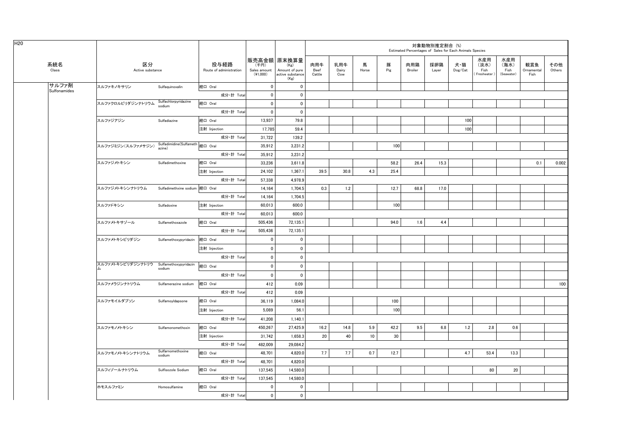| H20                   |                    |                                                   |                                 |                                    |                                                                   |                       |                     |            |          |                | 対象動物別推定割合(%) | Estimated Percentages of Sales for Each Animals Species |                                   |                                   |                           |               |
|-----------------------|--------------------|---------------------------------------------------|---------------------------------|------------------------------------|-------------------------------------------------------------------|-----------------------|---------------------|------------|----------|----------------|--------------|---------------------------------------------------------|-----------------------------------|-----------------------------------|---------------------------|---------------|
| 系統名<br>Class          |                    | 区分<br>Active substance                            | 投与経路<br>Route of administration | (千円)<br>Sales amount<br>$(*1,000)$ | 販売高金額 原末換算量<br>(Kg)<br>Amount of pure<br>active substance<br>(Kg) | 肉用牛<br>Beef<br>Cattle | 乳用牛<br>Dairy<br>Cow | 馬<br>Horse | 豚<br>Pig | 肉用鶏<br>Broiler | 採卵鶏<br>Layer | 犬・猫<br>Dog/Cat                                          | 水産用<br>(淡水)<br>Fish<br>Freshwater | 水産用<br>(海水)<br>Fish<br>(Seawater) | 観賞魚<br>Ornamental<br>Fish | その他<br>Others |
| サルファ剤<br>Sulfonamides | スルファキノキサリン         | Sulfaquinoxalin                                   | 経口 Oral                         | $\mathbf 0$                        | 0                                                                 |                       |                     |            |          |                |              |                                                         |                                   |                                   |                           |               |
|                       |                    |                                                   | 成分·計 Total                      | $\mathbf 0$                        | $\overline{\mathbf{0}}$                                           |                       |                     |            |          |                |              |                                                         |                                   |                                   |                           |               |
|                       | スルファクロルピリダジンナトリウム  | Sulfachlorpyridazine<br>sodium                    | 経口 Oral                         | $\pmb{0}$                          | 0                                                                 |                       |                     |            |          |                |              |                                                         |                                   |                                   |                           |               |
|                       |                    |                                                   | 成分·計 Total                      | $\mathbf 0$                        | $\mathbf 0$                                                       |                       |                     |            |          |                |              |                                                         |                                   |                                   |                           |               |
|                       | スルファジアジン           | Sulfadiazine                                      | 経口 Oral                         | 13.937                             | 79.8                                                              |                       |                     |            |          |                |              | 100                                                     |                                   |                                   |                           |               |
|                       |                    |                                                   | 注射 Injection                    | 17,785                             | 59.4                                                              |                       |                     |            |          |                |              | 100                                                     |                                   |                                   |                           |               |
|                       |                    |                                                   | 成分·計 Total                      | 31,722                             | 139.2                                                             |                       |                     |            |          |                |              |                                                         |                                   |                                   |                           |               |
|                       | スルファジミジン(スルファメサジン) | Sulfadimidine(Sulfameth<br>azine)                 | 経口 Oral                         | 35,912                             | 3,231.2                                                           |                       |                     |            | 100      |                |              |                                                         |                                   |                                   |                           |               |
|                       |                    |                                                   | 成分·計 Total                      | 35,912                             | 3,231.2                                                           |                       |                     |            |          |                |              |                                                         |                                   |                                   |                           |               |
|                       | スルファジメトキシン         | Sulfadimethoxine                                  | 経口 Oral                         | 33.236                             | 3.611.8                                                           |                       |                     |            | 58.2     | 26.4           | 15.3         |                                                         |                                   |                                   | 0.1                       | 0.002         |
|                       |                    |                                                   | 注射 Injection                    | 24,102                             | 1,367.1                                                           | 39.5                  | 30.8                | 4.3        | 25.4     |                |              |                                                         |                                   |                                   |                           |               |
|                       |                    |                                                   | 成分·計 Total                      | 57.338                             | 4,978.9                                                           |                       |                     |            |          |                |              |                                                         |                                   |                                   |                           |               |
|                       | スルファジメトキシンナトリウム    | Sulfadimethxine sodium 経口 Oral                    |                                 | 14,164                             | 1,704.5                                                           | 0.3                   | 1.2                 |            | 12.7     | 68.8           | 17.0         |                                                         |                                   |                                   |                           |               |
|                       |                    |                                                   | 成分·計 Total                      | 14,164                             | 1,704.5                                                           |                       |                     |            |          |                |              |                                                         |                                   |                                   |                           |               |
|                       | スルファドキシン           | Sulfadoxine                                       | 注射 Injection                    | 60.013                             | 600.0                                                             |                       |                     |            | 100      |                |              |                                                         |                                   |                                   |                           |               |
|                       |                    |                                                   | 成分·計 Total                      | 60,013                             | 600.0                                                             |                       |                     |            |          |                |              |                                                         |                                   |                                   |                           |               |
|                       | スルファメトキサゾール        | Sulfamethoxazole                                  | 経口 Oral                         | 505,436                            | 72.135.1                                                          |                       |                     |            | 94.0     | 1.6            | 4.4          |                                                         |                                   |                                   |                           |               |
|                       |                    |                                                   | 成分·計 Total                      | 505,436                            | 72,135.1                                                          |                       |                     |            |          |                |              |                                                         |                                   |                                   |                           |               |
|                       | スルファメトキシピリダジン      | Sulfamethoxypyridazin                             | 経口 Oral                         | $\overline{0}$                     | $\overline{\mathbf{0}}$                                           |                       |                     |            |          |                |              |                                                         |                                   |                                   |                           |               |
|                       |                    |                                                   | 注射 Injection                    | $\mathbf 0$                        | $\overline{\mathbf{0}}$                                           |                       |                     |            |          |                |              |                                                         |                                   |                                   |                           |               |
|                       |                    |                                                   | 成分·計 Total                      | $\mathbf 0$                        | $\overline{\mathbf{0}}$                                           |                       |                     |            |          |                |              |                                                         |                                   |                                   |                           |               |
|                       |                    | スルファメトキシピリダジンナトリウ Sulfamethoxypyridazin<br>sodium | 経口 Oral                         | $\mathbf 0$                        | $\mathbf 0$                                                       |                       |                     |            |          |                |              |                                                         |                                   |                                   |                           |               |
|                       |                    |                                                   | 成分·計 Total                      | $\pmb{0}$                          | $\overline{\mathbf{0}}$                                           |                       |                     |            |          |                |              |                                                         |                                   |                                   |                           |               |
|                       | スルファメラジンナトリウム      | Sulfamerazine sodium                              | 経口 Oral                         | 412                                | 0.09                                                              |                       |                     |            |          |                |              |                                                         |                                   |                                   |                           | 100           |
|                       |                    |                                                   | 成分·計 Total                      | 412                                | 0.09                                                              |                       |                     |            |          |                |              |                                                         |                                   |                                   |                           |               |
|                       | スルファモイルダプソン        | SulfamoyIdapsone                                  | 経口 Oral                         | 36,119                             | 1,084.0                                                           |                       |                     |            | 100      |                |              |                                                         |                                   |                                   |                           |               |
|                       |                    |                                                   | 注射 Injection                    | 5,089                              | 56.1                                                              |                       |                     |            | 100      |                |              |                                                         |                                   |                                   |                           |               |
|                       |                    |                                                   | 成分·計 Total                      | 41,208                             | 1,140.1                                                           |                       |                     |            |          |                |              |                                                         |                                   |                                   |                           |               |
|                       | スルファモノメトキシン        | Sulfamonomethoxin                                 | 経口 Oral                         | 450,267                            | 27,425.9                                                          | 16.2                  | 14.8                | 5.9        | 42.2     | 9.5            | 6.8          | 1.2                                                     | 2.8                               | 0.6                               |                           |               |
|                       |                    |                                                   | 注射 Injection                    | 31.742                             | 1,658.3                                                           | 20                    | 40                  | 10         | 30       |                |              |                                                         |                                   |                                   |                           |               |
|                       |                    |                                                   | 成分·計 Total                      | 482,009                            | 29,084.2                                                          |                       |                     |            |          |                |              |                                                         |                                   |                                   |                           |               |
|                       | スルファモノメトキシンナトリウム   | Sulfarnomethoxine<br>sodium                       | 経口 Oral                         | 48.701                             | 4.820.0                                                           | 7.7                   | 7.7                 | 0.7        | 12.7     |                |              | 4.7                                                     | 53.4                              | 13.3                              |                           |               |
|                       |                    |                                                   | 成分·計 Total                      | 48,701                             | 4,820.0                                                           |                       |                     |            |          |                |              |                                                         |                                   |                                   |                           |               |
|                       | スルフィゾールナトリウム       | Sulfisozole Sodium                                | 経口 Oral                         | 137,545                            | 14,580.0                                                          |                       |                     |            |          |                |              |                                                         | 80                                | 20                                |                           |               |
|                       |                    |                                                   | 成分·計 Total                      | 137.545                            | 14,580.0                                                          |                       |                     |            |          |                |              |                                                         |                                   |                                   |                           |               |
|                       | ホモスルファミン           | Homosulfamine                                     | 経口 Oral                         | $\overline{0}$                     | $\mathbf 0$                                                       |                       |                     |            |          |                |              |                                                         |                                   |                                   |                           |               |
|                       |                    |                                                   | 成分·計 Total                      | $\mathbf{0}$                       | $\Omega$                                                          |                       |                     |            |          |                |              |                                                         |                                   |                                   |                           |               |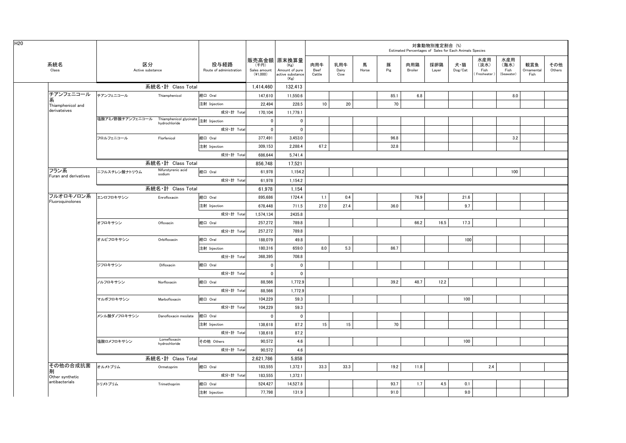|                               |                                          |                               |                                 |                                             |                                                             |                       |                     |            |          | Estimated Percentages of Sales for Each Animals Species | 対象動物別推定割合 (%) |                |                                   |                                   |                           |               |
|-------------------------------|------------------------------------------|-------------------------------|---------------------------------|---------------------------------------------|-------------------------------------------------------------|-----------------------|---------------------|------------|----------|---------------------------------------------------------|---------------|----------------|-----------------------------------|-----------------------------------|---------------------------|---------------|
| 系統名<br>Class                  | 区分<br>Active substance                   |                               | 投与経路<br>Route of administration | 販売高金額<br>(千円)<br>Sales amount<br>$(*1,000)$ | 原末換算量<br>(Kg)<br>Amount of pure<br>active substance<br>(Kg) | 肉用牛<br>Beef<br>Cattle | 乳用牛<br>Dairy<br>Cow | 馬<br>Horse | 豚<br>Pig | 肉用鶏<br>Broiler                                          | 採卵鶏<br>Layer  | 犬・猫<br>Dog/Cat | 水産用<br>(淡水)<br>Fish<br>Freshwater | 水産用<br>(海水)<br>Fish<br>(Seawater) | 観賞魚<br>Ornamental<br>Fish | その他<br>Others |
|                               |                                          | 系統名·計 Class Total             |                                 | 1,414,460                                   | 132,413                                                     |                       |                     |            |          |                                                         |               |                |                                   |                                   |                           |               |
| チアンフェニコール<br>係                | チアンフェニコール                                | Thiamphenicol                 | 経口 Oral                         | 147,610                                     | 11.550.6                                                    |                       |                     |            | 85.1     | 6.8                                                     |               |                |                                   | 8.0                               |                           |               |
| Thiamphenicol and             |                                          |                               | 注射 Injection                    | 22.494                                      | 228.5                                                       | 10                    | 20                  |            | 70       |                                                         |               |                |                                   |                                   |                           |               |
| derivateives                  |                                          |                               | 成分·計 Total                      | 170,104                                     | 11,779.1                                                    |                       |                     |            |          |                                                         |               |                |                                   |                                   |                           |               |
|                               | 塩酸アミノ酢酸チアンフェニコール Thiamphenicol glycinate | hydrochloride                 | 注射 Injection                    | $\mathbf{0}$                                | $\pmb{0}$                                                   |                       |                     |            |          |                                                         |               |                |                                   |                                   |                           |               |
|                               |                                          |                               | 成分·計 Tota                       | $\mathbf 0$                                 | $\mathbf 0$                                                 |                       |                     |            |          |                                                         |               |                |                                   |                                   |                           |               |
|                               | フロルフェニコール                                | Florfenicol                   | 経口 Oral                         | 377,491                                     | 3,453.0                                                     |                       |                     |            | 96.8     |                                                         |               |                |                                   | 3.2                               |                           |               |
|                               |                                          |                               | 注射 Injection                    | 309,153                                     | 2,288.4                                                     | 67.2                  |                     |            | 32.8     |                                                         |               |                |                                   |                                   |                           |               |
|                               |                                          |                               | 成分·計 Total                      | 686,644                                     | 5,741.4                                                     |                       |                     |            |          |                                                         |               |                |                                   |                                   |                           |               |
|                               |                                          | 系統名·計 Class Total             |                                 | 856.748                                     | 17.521                                                      |                       |                     |            |          |                                                         |               |                |                                   |                                   |                           |               |
| フラン系<br>Furan and derivatives | ニフルスチレン酸ナトリウム                            | Nifurstyrenic acid<br>sodium  | 経口 Oral                         | 61.978                                      | 1.154.2                                                     |                       |                     |            |          |                                                         |               |                |                                   | 100                               |                           |               |
|                               |                                          |                               | 成分·計 Total                      | 61.978                                      | 1.154.2                                                     |                       |                     |            |          |                                                         |               |                |                                   |                                   |                           |               |
|                               |                                          | 系統名·計 Class Total             |                                 | 61.978                                      | 1,154                                                       |                       |                     |            |          |                                                         |               |                |                                   |                                   |                           |               |
| フルオロキノロン系<br>Fluoroquinolones | エンロフロキサシン                                | Enrofloxacin                  | 経口 Oral                         | 895.686                                     | 1724.4                                                      | 1.1                   | 0.4                 |            |          | 76.9                                                    |               | 21.6           |                                   |                                   |                           |               |
|                               |                                          |                               | 注射 Injection                    | 678,448                                     | 711.5                                                       | 27.0                  | 27.4                |            | 36.0     |                                                         |               | 9.7            |                                   |                                   |                           |               |
|                               |                                          |                               | 成分·計 Total                      | 1,574,134                                   | 2435.8                                                      |                       |                     |            |          |                                                         |               |                |                                   |                                   |                           |               |
|                               | オフロキサシン                                  | Ofloxacin                     | 経口 Oral                         | 257,272                                     | 789.8                                                       |                       |                     |            |          | 66.2                                                    | 16.5          | 17.3           |                                   |                                   |                           |               |
|                               |                                          |                               | 成分·計 Total                      | 257,272                                     | 789.8                                                       |                       |                     |            |          |                                                         |               |                |                                   |                                   |                           |               |
|                               | オルビフロキサシン                                | Orbifloxacin                  | 経口 Oral                         | 188,079                                     | 49.8                                                        |                       |                     |            |          |                                                         |               | 100            |                                   |                                   |                           |               |
|                               |                                          |                               | 注射 Injection                    | 180,316                                     | 659.0                                                       | 8.0                   | 5.3                 |            | 86.7     |                                                         |               |                |                                   |                                   |                           |               |
|                               |                                          |                               | 成分·計 Total                      | 368,395                                     | 708.8                                                       |                       |                     |            |          |                                                         |               |                |                                   |                                   |                           |               |
|                               | ジフロキサシン                                  | Difloxacin                    | 経口 Oral                         | $\mathbf 0$                                 | $\mathbf 0$                                                 |                       |                     |            |          |                                                         |               |                |                                   |                                   |                           |               |
|                               |                                          |                               | 成分·計 Total                      | $\mathbf 0$                                 | $\mathbf 0$                                                 |                       |                     |            |          |                                                         |               |                |                                   |                                   |                           |               |
|                               | ノルフロキサシン                                 | Norfloxacin                   | 経口 Oral                         | 88.566                                      | 1,772.9                                                     |                       |                     |            | 39.2     | 48.7                                                    | 12.2          |                |                                   |                                   |                           |               |
|                               |                                          |                               | 成分·計 Total                      | 88,566                                      | 1,772.9                                                     |                       |                     |            |          |                                                         |               |                |                                   |                                   |                           |               |
|                               | マルボフロキサシン                                | Marbofloxacin                 | 経口 Oral                         | 104,229                                     | 59.3                                                        |                       |                     |            |          |                                                         |               | 100            |                                   |                                   |                           |               |
|                               |                                          |                               | 成分·計 Total                      | 104,229                                     | 59.3                                                        |                       |                     |            |          |                                                         |               |                |                                   |                                   |                           |               |
|                               | メシル酸ダノフロキサシン                             | Danofloxacin mesilate         | 経口 Oral                         | $\mathbf 0$                                 | $\mathbf 0$                                                 |                       |                     |            |          |                                                         |               |                |                                   |                                   |                           |               |
|                               |                                          |                               | 注射 Injection                    | 138,618                                     | 87.2                                                        | 15                    | 15                  |            | 70       |                                                         |               |                |                                   |                                   |                           |               |
|                               |                                          |                               | 成分·計 Total                      | 138,618                                     | 87.2                                                        |                       |                     |            |          |                                                         |               |                |                                   |                                   |                           |               |
|                               | 塩酸ロメフロキサシン                               | Lomefloxacin<br>hydrochloride | その他 Others                      | 90,572                                      | 4.6                                                         |                       |                     |            |          |                                                         |               | 100            |                                   |                                   |                           |               |
|                               |                                          |                               | 成分·計 Total                      | 90,572                                      | 4.6                                                         |                       |                     |            |          |                                                         |               |                |                                   |                                   |                           |               |
|                               |                                          | 系統名·計 Class Total             |                                 | 2.621.786                                   | 5.858                                                       |                       |                     |            |          |                                                         |               |                |                                   |                                   |                           |               |
| その他の合成抗菌                      | オルメトプリム                                  | Ormetoprim                    | 経口 Oral                         | 183,555                                     | 1,372.1                                                     | 33.3                  | 33.3                |            | 19.2     | 11.8                                                    |               |                | $2.4\,$                           |                                   |                           |               |
| ।剤<br>Other synthetic         |                                          |                               | 成分·計 Total                      | 183,555                                     | 1,372.1                                                     |                       |                     |            |          |                                                         |               |                |                                   |                                   |                           |               |
| antibacterials                | トリメトプリム                                  | Trimethoprim                  | 経口 Oral                         | 524,427                                     | 14,527.8                                                    |                       |                     |            | 93.7     | 1.7                                                     | 4.5           | 0.1            |                                   |                                   |                           |               |
|                               |                                          |                               | 注射 Injection                    | 77,798                                      | 131.9                                                       |                       |                     |            | 91.0     |                                                         |               | 9.0            |                                   |                                   |                           |               |
|                               |                                          |                               |                                 |                                             |                                                             |                       |                     |            |          |                                                         |               |                |                                   |                                   |                           |               |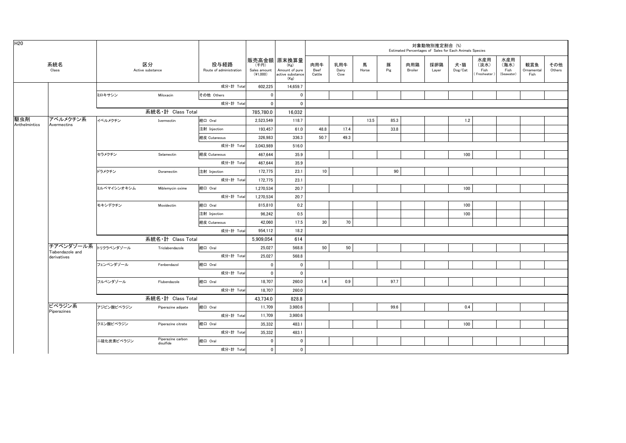| H <sub>20</sub>      |                               |             |                                |                                 |                                    |                                                                   |                       |                     |            |          | Estimated Percentages of Sales for Each Animals Species | 対象動物別推定割合 (%) |                                    |                                                                        |                           |               |
|----------------------|-------------------------------|-------------|--------------------------------|---------------------------------|------------------------------------|-------------------------------------------------------------------|-----------------------|---------------------|------------|----------|---------------------------------------------------------|---------------|------------------------------------|------------------------------------------------------------------------|---------------------------|---------------|
|                      | 系統名<br>Class                  |             | 区分<br>Active substance         | 投与経路<br>Route of administration | (FH)<br>Sales amount<br>$(*1,000)$ | 販売高金額 原末換算量<br>(Kg)<br>Amount of pure<br>active substance<br>(Kg) | 肉用牛<br>Beef<br>Cattle | 乳用牛<br>Dairy<br>Cow | 馬<br>Horse | 豚<br>Pig | 肉用鶏<br>Broiler                                          | 採卵鶏<br>Layer  | 犬・猫<br>$\mathsf{Dog}/\mathsf{Cat}$ | 水産用<br>水産用<br>(淡水)<br>(海水)<br>Fish<br>Fish<br>Freshwater<br>(Seawater) | 観賞魚<br>Ornamental<br>Fish | その他<br>Others |
|                      |                               |             |                                | 成分·計 Tota                       | 602,225                            | 14,659.7                                                          |                       |                     |            |          |                                                         |               |                                    |                                                                        |                           |               |
|                      |                               | ミロキサシン      | Miloxacin                      | その他 Others                      | $\mathbf 0$                        | $\mathbf 0$                                                       |                       |                     |            |          |                                                         |               |                                    |                                                                        |                           |               |
|                      |                               |             |                                | 成分·計 Tota                       | $\mathbf{0}$                       | $^{\circ}$                                                        |                       |                     |            |          |                                                         |               |                                    |                                                                        |                           |               |
|                      |                               |             | 系統名·計 Class Total              |                                 | 785,780.0                          | 16,032                                                            |                       |                     |            |          |                                                         |               |                                    |                                                                        |                           |               |
| 駆虫剤<br>Anthelmintics | アベルメクチン系<br>Avermectins       | イベルメクチン     | Ivermectin                     | 経口 Oral                         | 2,523,549                          | 118.7                                                             |                       |                     | 13.5       | 85.3     |                                                         |               | 1.2                                |                                                                        |                           |               |
|                      |                               |             |                                | 注射 Injection                    | 193,457                            | 61.0                                                              | 48.8                  | 17.4                |            | 33.8     |                                                         |               |                                    |                                                                        |                           |               |
|                      |                               |             |                                | 経皮 Cutaneous                    | 326,983                            | 336.3                                                             | 50.7                  | 49.3                |            |          |                                                         |               |                                    |                                                                        |                           |               |
|                      |                               |             |                                | 成分·計 Total                      | 3,043,989                          | 516.0                                                             |                       |                     |            |          |                                                         |               |                                    |                                                                        |                           |               |
|                      |                               | セラメクチン      | Selamectin                     | 経皮 Cutaneous                    | 467,644                            | 35.9                                                              |                       |                     |            |          |                                                         |               | 100                                |                                                                        |                           |               |
|                      |                               |             |                                | 成分·計 Total                      | 467,644                            | 35.9                                                              |                       |                     |            |          |                                                         |               |                                    |                                                                        |                           |               |
|                      |                               | ドラメクチン      | Doramectin                     | 注射 Injection                    | 172,775                            | 23.1                                                              | 10 <sup>1</sup>       |                     |            | 90       |                                                         |               |                                    |                                                                        |                           |               |
|                      |                               |             |                                | 成分·計 Total                      | 172,775                            | 23.1                                                              |                       |                     |            |          |                                                         |               |                                    |                                                                        |                           |               |
|                      |                               | ミルベマイシンオキシム | Miblemycin oxime               | 経口 Oral                         | 1,270,534                          | 20.7                                                              |                       |                     |            |          |                                                         |               | 100                                |                                                                        |                           |               |
|                      |                               |             |                                | 成分·計 Total                      | 1,270,534                          | 20.7                                                              |                       |                     |            |          |                                                         |               |                                    |                                                                        |                           |               |
|                      |                               | モキシデクチン     | Moxidectin                     | 経口 Oral                         | 815,810                            | 0.2                                                               |                       |                     |            |          |                                                         |               | 100                                |                                                                        |                           |               |
|                      |                               |             |                                | 注射 Injection                    | 96,242                             | 0.5                                                               |                       |                     |            |          |                                                         |               | 100                                |                                                                        |                           |               |
|                      |                               |             |                                | 経皮 Cutaneous                    | 42,060                             | 17.5                                                              | 30                    | 70                  |            |          |                                                         |               |                                    |                                                                        |                           |               |
|                      |                               |             |                                | 成分·計 Tota                       | 954,112                            | 18.2                                                              |                       |                     |            |          |                                                         |               |                                    |                                                                        |                           |               |
|                      |                               |             | 系統名·計 Class Total              |                                 | 5.909.054                          | 614                                                               |                       |                     |            |          |                                                         |               |                                    |                                                                        |                           |               |
|                      | チアベンダゾール系<br>Tiabendazole and | トリクラベンダゾール  | Triclabendazole                | 経口 Oral                         | 25,027                             | 568.8                                                             | 50                    | 50                  |            |          |                                                         |               |                                    |                                                                        |                           |               |
|                      | derivatives                   |             |                                | 成分·計 Total                      | 25,027                             | 568.8                                                             |                       |                     |            |          |                                                         |               |                                    |                                                                        |                           |               |
|                      |                               | フェンベンダゾール   | Fenbendazol                    | 経口 Oral                         | $\mathbf{0}$                       | $\mathbf 0$                                                       |                       |                     |            |          |                                                         |               |                                    |                                                                        |                           |               |
|                      |                               |             |                                | 成分·計 Total                      | $\mathbf 0$                        | $\mathbf 0$                                                       |                       |                     |            |          |                                                         |               |                                    |                                                                        |                           |               |
|                      |                               | フルベンダゾール    | Flubendazole                   | 経口 Oral                         | 18,707                             | 260.0                                                             | 1.4                   | 0.9                 |            | 97.7     |                                                         |               |                                    |                                                                        |                           |               |
|                      |                               |             |                                | 成分·計 Total                      | 18,707                             | 260.0                                                             |                       |                     |            |          |                                                         |               |                                    |                                                                        |                           |               |
|                      |                               |             | 系統名·計 Class Total              |                                 | 43,734.0                           | 828.8                                                             |                       |                     |            |          |                                                         |               |                                    |                                                                        |                           |               |
|                      | ピペラジン系                        | アジピン酸ピペラジン  | Piperazine adipate             | 経口 Oral                         | 11,709                             | 3,980.6                                                           |                       |                     |            | 99.6     |                                                         |               | 0.4                                |                                                                        |                           |               |
|                      | Piperazines                   |             |                                | 成分·計 Total                      | 11,709                             | 3,980.6                                                           |                       |                     |            |          |                                                         |               |                                    |                                                                        |                           |               |
|                      |                               | クエン酸ピペラジン   | Piperazine citrate             | 経口 Oral                         | 35,332                             | 483.1                                                             |                       |                     |            |          |                                                         |               | 100                                |                                                                        |                           |               |
|                      |                               |             |                                | 成分·計 Total                      | 35,332                             | 483.1                                                             |                       |                     |            |          |                                                         |               |                                    |                                                                        |                           |               |
|                      |                               | ニ硫化炭素ピペラジン  | Piperazine carbon<br>disulfide | 経口 Oral                         | $\mathbf 0$                        | $\mathbf 0$                                                       |                       |                     |            |          |                                                         |               |                                    |                                                                        |                           |               |
|                      |                               |             |                                | 成分·計 Total                      | $\mathbf{0}$                       | $\mathbf 0$                                                       |                       |                     |            |          |                                                         |               |                                    |                                                                        |                           |               |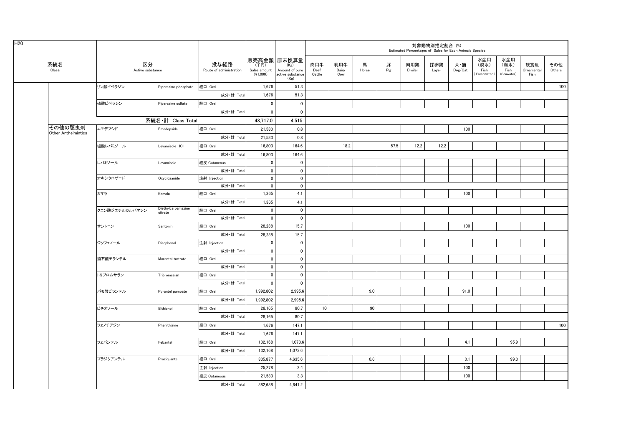| H <sub>20</sub> |                                |                        |                               |                                 |                                    |                                                                   |                       |                     |            |          | Estimated Percentages of Sales for Each Animals Species | 対象動物別推定割合 (%) |                |                                     |                                   |                           |               |
|-----------------|--------------------------------|------------------------|-------------------------------|---------------------------------|------------------------------------|-------------------------------------------------------------------|-----------------------|---------------------|------------|----------|---------------------------------------------------------|---------------|----------------|-------------------------------------|-----------------------------------|---------------------------|---------------|
|                 | 系統名<br>Class                   | 区分<br>Active substance |                               | 投与経路<br>Route of administration | (千円)<br>Sales amount<br>$(*1,000)$ | 販売高金額 原末換算量<br>(Kg)<br>Amount of pure<br>active substance<br>(Kg) | 肉用牛<br>Beef<br>Cattle | 乳用牛<br>Dairy<br>Cow | 馬<br>Horse | 豚<br>Pig | 肉用鶏<br>Broiler                                          | 採卵鶏<br>Layer  | 犬・猫<br>Dog/Cat | 水産用<br>(淡水)<br>Fish<br>(Freshwater) | 水産用<br>(海水)<br>Fish<br>(Seawater) | 観賞魚<br>Ornamental<br>Fish | その他<br>Others |
|                 |                                | リン酸ピペラジン               | Piperazine phosphate          | 経口 Oral                         | 1,676                              | 51.3                                                              |                       |                     |            |          |                                                         |               |                |                                     |                                   |                           | 100           |
|                 |                                |                        |                               | 成分·計 Total                      | 1,676                              | 51.3                                                              |                       |                     |            |          |                                                         |               |                |                                     |                                   |                           |               |
|                 |                                | 硫酸ピペラジン                | Piperazine sulfate            | 経口 Oral                         | $\mathbf{0}$                       | $\mathbf{0}$                                                      |                       |                     |            |          |                                                         |               |                |                                     |                                   |                           |               |
|                 |                                |                        |                               | 成分·計 Total                      | $\overline{0}$                     | 0                                                                 |                       |                     |            |          |                                                         |               |                |                                     |                                   |                           |               |
|                 |                                |                        | 系統名·計 Class Total             |                                 | 48,717.0                           | 4,515                                                             |                       |                     |            |          |                                                         |               |                |                                     |                                   |                           |               |
|                 | その他の駆虫剤<br>Other Anthelmintics | エモデプシド                 | Emodepside                    | 経口 Oral                         | 21,533                             | 0.8                                                               |                       |                     |            |          |                                                         |               | 100            |                                     |                                   |                           |               |
|                 |                                |                        |                               | 成分·計 Total                      | 21,533                             | 0.8                                                               |                       |                     |            |          |                                                         |               |                |                                     |                                   |                           |               |
|                 |                                | 塩酸レバミゾール               | Levamisole HCI                | 経口 Oral                         | 16,803                             | 164.6                                                             |                       | 18.2                |            | 57.5     | 12.2                                                    | 12.2          |                |                                     |                                   |                           |               |
|                 |                                |                        |                               | 成分·計 Total                      | 16,803                             | 164.6                                                             |                       |                     |            |          |                                                         |               |                |                                     |                                   |                           |               |
|                 |                                | レバミゾール                 | Levamisole                    | 経皮 Cutaneous                    | $\mathbf{0}$                       | $\overline{\mathbf{0}}$                                           |                       |                     |            |          |                                                         |               |                |                                     |                                   |                           |               |
|                 |                                |                        |                               | 成分·計 Total                      | $\overline{\mathbf{0}}$            | $\overline{\mathbf{0}}$                                           |                       |                     |            |          |                                                         |               |                |                                     |                                   |                           |               |
|                 |                                | オキシクロザニド               | Oxyclozanide                  | 注射 Injection                    | $\overline{\mathbf{0}}$            | $\overline{\mathbf{0}}$                                           |                       |                     |            |          |                                                         |               |                |                                     |                                   |                           |               |
|                 |                                |                        |                               | 成分·計 Total                      | $\overline{\mathbf{0}}$            | $\overline{\mathbf{0}}$                                           |                       |                     |            |          |                                                         |               |                |                                     |                                   |                           |               |
|                 |                                | カマラ                    | Kamala                        | 経口 Oral                         | 1,365                              | 4.1                                                               |                       |                     |            |          |                                                         |               | 100            |                                     |                                   |                           |               |
|                 |                                |                        |                               | 成分·計 Total                      | 1,365                              | 4.1                                                               |                       |                     |            |          |                                                         |               |                |                                     |                                   |                           |               |
|                 |                                | クエン酸ジエチルカルバマジン         | Diethylcarbamazine<br>citrate | 経口 Oral                         | $\overline{\mathbf{0}}$            | $\overline{\mathbf{0}}$                                           |                       |                     |            |          |                                                         |               |                |                                     |                                   |                           |               |
|                 |                                |                        |                               | 成分·計 Total                      | $\overline{\mathbf{0}}$            | $\overline{0}$                                                    |                       |                     |            |          |                                                         |               |                |                                     |                                   |                           |               |
|                 |                                | サントニン                  | Santonin                      | 経口 Oral                         | 28,238                             | 15.7                                                              |                       |                     |            |          |                                                         |               | 100            |                                     |                                   |                           |               |
|                 |                                |                        |                               | 成分·計 Total                      | 28,238                             | 15.7                                                              |                       |                     |            |          |                                                         |               |                |                                     |                                   |                           |               |
|                 |                                | ジソフェノール                | Disophenol                    | 注射 Injection                    | $\mathbf 0$                        | $\mathbf 0$                                                       |                       |                     |            |          |                                                         |               |                |                                     |                                   |                           |               |
|                 |                                |                        |                               | 成分·計 Total                      | $\overline{\mathbf{0}}$            | $\overline{\mathbf{0}}$                                           |                       |                     |            |          |                                                         |               |                |                                     |                                   |                           |               |
|                 |                                | 酒石酸モランテル               | Morantel tartrate             | 経口 Oral                         | $\mathbf 0$                        | $\overline{\mathbf{0}}$                                           |                       |                     |            |          |                                                         |               |                |                                     |                                   |                           |               |
|                 |                                |                        |                               | 成分·計 Total                      | $\mathbf 0$                        | $\mathbf 0$                                                       |                       |                     |            |          |                                                         |               |                |                                     |                                   |                           |               |
|                 |                                | トリブロムサラン               | Tribromsalan                  | 経口 Oral                         | $\overline{\mathbf{0}}$            | $\mathbf 0$                                                       |                       |                     |            |          |                                                         |               |                |                                     |                                   |                           |               |
|                 |                                |                        |                               | 成分·計 Total                      | $\overline{\mathbf{0}}$            | $\overline{\mathbf{0}}$                                           |                       |                     |            |          |                                                         |               |                |                                     |                                   |                           |               |
|                 |                                | パモ酸ピランテル               | Pyrantel pamoate              | 経口 Oral                         | 1,992,802                          | 2,995.6                                                           |                       |                     | 9.0        |          |                                                         |               | 91.0           |                                     |                                   |                           |               |
|                 |                                |                        |                               | 成分·計 Total                      | 1,992,802                          | 2,995.6                                                           |                       |                     |            |          |                                                         |               |                |                                     |                                   |                           |               |
|                 |                                | ビチオノール                 | Bithionol                     | 経口 Oral                         | 28,165                             | 80.7                                                              | 10                    |                     | 90         |          |                                                         |               |                |                                     |                                   |                           |               |
|                 |                                |                        |                               | 成分·計 Total                      | 28,165                             | 80.7                                                              |                       |                     |            |          |                                                         |               |                |                                     |                                   |                           |               |
|                 |                                | フェノチアジン                | Phenithizine                  | 経口 Oral                         | 1,676                              | 147.1                                                             |                       |                     |            |          |                                                         |               |                |                                     |                                   |                           | 100           |
|                 |                                |                        |                               | 成分·計 Total                      | 1,676                              | 147.1                                                             |                       |                     |            |          |                                                         |               |                |                                     |                                   |                           |               |
|                 |                                | フェバンテル                 | Febantel                      | 経口 Oral                         | 132,168                            | 1,073.6                                                           |                       |                     |            |          |                                                         |               | 4.1            |                                     | 95.9                              |                           |               |
|                 |                                |                        |                               | 成分·計 Total                      | 132,168                            | 1,073.6                                                           |                       |                     |            |          |                                                         |               |                |                                     |                                   |                           |               |
|                 |                                | プラジクアンテル               | Praziquantel                  | 経口 Oral                         | 335,877                            | 4,635.6                                                           |                       |                     | 0.6        |          |                                                         |               | 0.1            |                                     | 99.3                              |                           |               |
|                 |                                |                        |                               | 注射 Injection                    | 25,278                             | 2.4                                                               |                       |                     |            |          |                                                         |               | 100            |                                     |                                   |                           |               |
|                 |                                |                        |                               | 経皮 Cutaneous                    | 21.533                             | 3.3                                                               |                       |                     |            |          |                                                         |               | 100            |                                     |                                   |                           |               |
|                 |                                |                        |                               | 成分·計 Total                      | 382,688                            | 4,641.2                                                           |                       |                     |            |          |                                                         |               |                |                                     |                                   |                           |               |